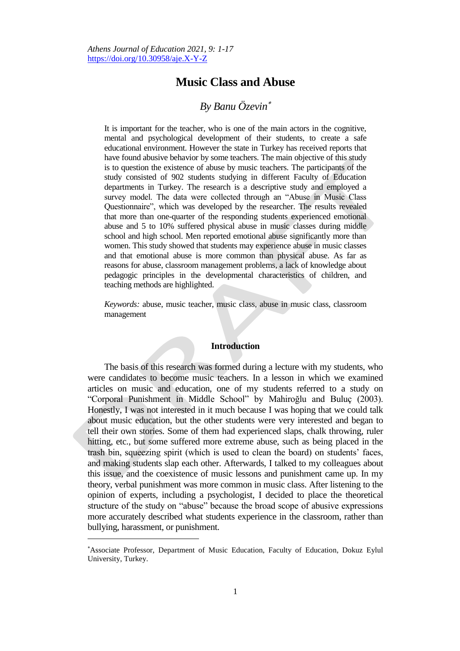# **Music Class and Abuse**

# *By Banu Özevin*

It is important for the teacher, who is one of the main actors in the cognitive, mental and psychological development of their students, to create a safe educational environment. However the state in Turkey has received reports that have found abusive behavior by some teachers. The main objective of this study is to question the existence of abuse by music teachers. The participants of the study consisted of 902 students studying in different Faculty of Education departments in Turkey. The research is a descriptive study and employed a survey model. The data were collected through an "Abuse in Music Class Questionnaire", which was developed by the researcher. The results revealed that more than one-quarter of the responding students experienced emotional abuse and 5 to 10% suffered physical abuse in music classes during middle school and high school. Men reported emotional abuse significantly more than women. This study showed that students may experience abuse in music classes and that emotional abuse is more common than physical abuse. As far as reasons for abuse, classroom management problems, a lack of knowledge about pedagogic principles in the developmental characteristics of children, and teaching methods are highlighted.

*Keywords:* abuse, music teacher, music class, abuse in music class, classroom management

# **Introduction**

The basis of this research was formed during a lecture with my students, who were candidates to become music teachers. In a lesson in which we examined articles on music and education, one of my students referred to a study on "Corporal Punishment in Middle School" by Mahiroğlu and Buluç (2003). Honestly, I was not interested in it much because I was hoping that we could talk about music education, but the other students were very interested and began to tell their own stories. Some of them had experienced slaps, chalk throwing, ruler hitting, etc., but some suffered more extreme abuse, such as being placed in the trash bin, squeezing spirit (which is used to clean the board) on students' faces, and making students slap each other. Afterwards, I talked to my colleagues about this issue, and the coexistence of music lessons and punishment came up. In my theory, verbal punishment was more common in music class. After listening to the opinion of experts, including a psychologist, I decided to place the theoretical structure of the study on "abuse" because the broad scope of abusive expressions more accurately described what students experience in the classroom, rather than bullying, harassment, or punishment.

 $\overline{a}$ 

Associate Professor, Department of Music Education, Faculty of Education, Dokuz Eylul University, Turkey.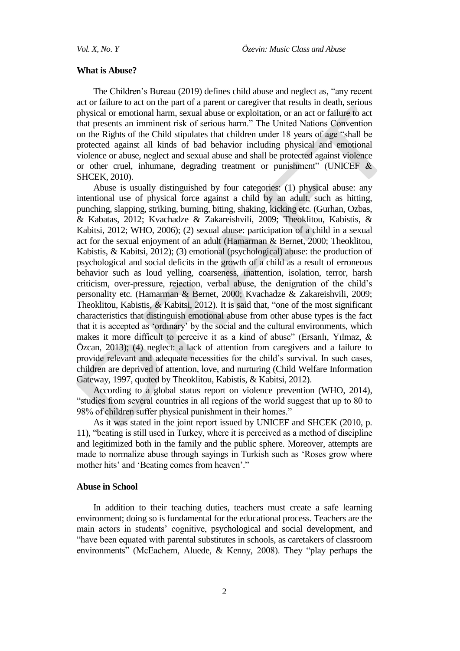#### **What is Abuse?**

The Children"s Bureau (2019) defines child abuse and neglect as, "any recent act or failure to act on the part of a parent or caregiver that results in death, serious physical or emotional harm, sexual abuse or exploitation, or an act or failure to act that presents an imminent risk of serious harm." The United Nations Convention on the Rights of the Child stipulates that children under 18 years of age "shall be protected against all kinds of bad behavior including physical and emotional violence or abuse, neglect and sexual abuse and shall be protected against violence or other cruel, inhumane, degrading treatment or punishment" (UNICEF & SHCEK, 2010).

Abuse is usually distinguished by four categories: (1) physical abuse: any intentional use of physical force against a child by an adult, such as hitting, punching, slapping, striking, burning, biting, shaking, kicking etc. (Gurhan, Ozbas, & Kabatas, 2012; Kvachadze & Zakareishvili, 2009; Theoklitou, Kabistis, & Kabitsi, 2012; WHO, 2006); (2) sexual abuse: participation of a child in a sexual act for the sexual enjoyment of an adult (Hamarman & Bernet, 2000; Theoklitou, Kabistis, & Kabitsi, 2012); (3) emotional (psychological) abuse: the production of psychological and social deficits in the growth of a child as a result of erroneous behavior such as loud yelling, coarseness, inattention, isolation, terror, harsh criticism, over-pressure, rejection, verbal abuse, the denigration of the child"s personality etc. (Hamarman & Bernet, 2000; Kvachadze & Zakareishvili, 2009; Theoklitou, Kabistis, & Kabitsi, 2012). It is said that, "one of the most significant characteristics that distinguish emotional abuse from other abuse types is the fact that it is accepted as "ordinary" by the social and the cultural environments, which makes it more difficult to perceive it as a kind of abuse" (Ersanlı, Yılmaz, & Özcan, 2013); (4) neglect: a lack of attention from caregivers and a failure to provide relevant and adequate necessities for the child"s survival. In such cases, children are deprived of attention, love, and nurturing (Child Welfare Information Gateway, 1997, quoted by Theoklitou, Kabistis, & Kabitsi, 2012).

According to a global status report on violence prevention (WHO, 2014), "studies from several countries in all regions of the world suggest that up to 80 to 98% of children suffer physical punishment in their homes."

As it was stated in the joint report issued by UNICEF and SHCEK (2010, p. 11), "beating is still used in Turkey, where it is perceived as a method of discipline and legitimized both in the family and the public sphere. Moreover, attempts are made to normalize abuse through sayings in Turkish such as "Roses grow where mother hits' and 'Beating comes from heaven'."

## **Abuse in School**

In addition to their teaching duties, teachers must create a safe learning environment; doing so is fundamental for the educational process. Teachers are the main actors in students" cognitive, psychological and social development, and "have been equated with parental substitutes in schools, as caretakers of classroom environments" (McEachern, Aluede, & Kenny, 2008). They "play perhaps the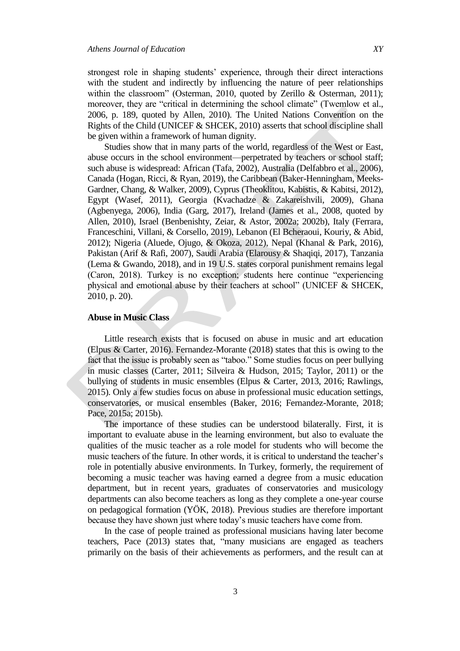strongest role in shaping students' experience, through their direct interactions with the student and indirectly by influencing the nature of peer relationships within the classroom" (Osterman, 2010, quoted by Zerillo & Osterman, 2011); moreover, they are "critical in determining the school climate" (Twemlow et al., 2006, p. 189, quoted by Allen, 2010). The United Nations Convention on the Rights of the Child (UNICEF & SHCEK, 2010) asserts that school discipline shall be given within a framework of human dignity.

Studies show that in many parts of the world, regardless of the West or East, abuse occurs in the school environment—perpetrated by teachers or school staff; such abuse is widespread: African (Tafa, 2002), Australia (Delfabbro et al., 2006), Canada (Hogan, Ricci, & Ryan, 2019), the Caribbean (Baker-Henningham, Meeks-Gardner, Chang, & Walker, 2009), Cyprus (Theoklitou, Kabistis, & Kabitsi, 2012), Egypt (Wasef, 2011), Georgia (Kvachadze & Zakareishvili, 2009), Ghana (Agbenyega, 2006), India (Garg, 2017), Ireland (James et al., 2008, quoted by Allen, 2010), Israel (Benbenishty, Zeiar, & Astor, 2002a; 2002b), Italy (Ferrara, Franceschini, Villani, & Corsello, 2019), Lebanon (El Bcheraoui, Kouriy, & Abid, 2012); Nigeria (Aluede, Ojugo, & Okoza, 2012), Nepal (Khanal & Park, 2016), Pakistan (Arif & Rafi, 2007), Saudi Arabia (Elarousy & Shaqiqi, 2017), Tanzania (Lema & Gwando, 2018), and in 19 U.S. states corporal punishment remains legal (Caron, 2018). Turkey is no exception; students here continue "experiencing physical and emotional abuse by their teachers at school" (UNICEF & SHCEK, 2010, p. 20).

# **Abuse in Music Class**

Little research exists that is focused on abuse in music and art education (Elpus & Carter, 2016). Fernandez-Morante (2018) states that this is owing to the fact that the issue is probably seen as "taboo." Some studies focus on peer bullying in music classes (Carter, 2011; Silveira & Hudson, 2015; Taylor, 2011) or the bullying of students in music ensembles (Elpus & Carter, 2013, 2016; Rawlings, 2015). Only a few studies focus on abuse in professional music education settings, conservatories, or musical ensembles (Baker, 2016; Fernandez-Morante, 2018; Pace, 2015a; 2015b).

The importance of these studies can be understood bilaterally. First, it is important to evaluate abuse in the learning environment, but also to evaluate the qualities of the music teacher as a role model for students who will become the music teachers of the future. In other words, it is critical to understand the teacher"s role in potentially abusive environments. In Turkey, formerly, the requirement of becoming a music teacher was having earned a degree from a music education department, but in recent years, graduates of conservatories and musicology departments can also become teachers as long as they complete a one-year course on pedagogical formation (YÖK, 2018). Previous studies are therefore important because they have shown just where today"s music teachers have come from.

In the case of people trained as professional musicians having later become teachers, Pace (2013) states that, "many musicians are engaged as teachers primarily on the basis of their achievements as performers, and the result can at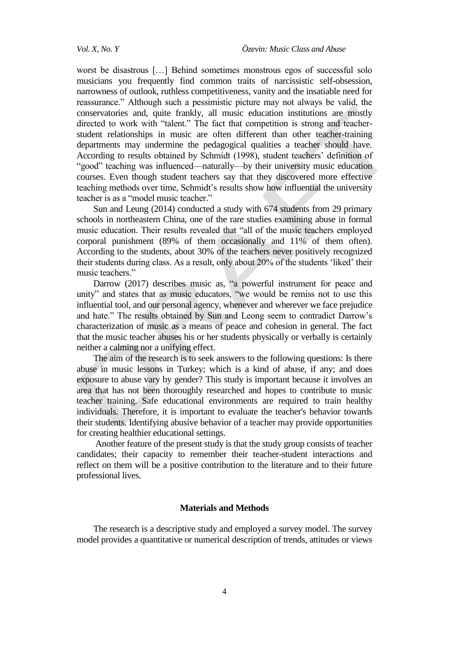worst be disastrous […] Behind sometimes monstrous egos of successful solo musicians you frequently find common traits of narcissistic self-obsession, narrowness of outlook, ruthless competitiveness, vanity and the insatiable need for reassurance." Although such a pessimistic picture may not always be valid, the conservatories and, quite frankly, all music education institutions are mostly directed to work with "talent." The fact that competition is strong and teacherstudent relationships in music are often different than other teacher-training departments may undermine the pedagogical qualities a teacher should have. According to results obtained by Schmidt (1998), student teachers' definition of "good" teaching was influenced—naturally—by their university music education courses. Even though student teachers say that they discovered more effective teaching methods over time, Schmidt's results show how influential the university teacher is as a "model music teacher."

Sun and Leung (2014) conducted a study with 674 students from 29 primary schools in northeastern China, one of the rare studies examining abuse in formal music education. Their results revealed that "all of the music teachers employed corporal punishment (89% of them occasionally and 11% of them often). According to the students, about 30% of the teachers never positively recognized their students during class. As a result, only about 20% of the students "liked" their music teachers."

Darrow (2017) describes music as, "a powerful instrument for peace and unity" and states that as music educators, "we would be remiss not to use this influential tool, and our personal agency, whenever and wherever we face prejudice and hate." The results obtained by Sun and Leong seem to contradict Darrow"s characterization of music as a means of peace and cohesion in general. The fact that the music teacher abuses his or her students physically or verbally is certainly neither a calming nor a unifying effect.

The aim of the research is to seek answers to the following questions: Is there abuse in music lessons in Turkey; which is a kind of abuse, if any; and does exposure to abuse vary by gender? This study is important because it involves an area that has not been thoroughly researched and hopes to contribute to music teacher training. Safe educational environments are required to train healthy individuals. Therefore, it is important to evaluate the teacher's behavior towards their students. Identifying abusive behavior of a teacher may provide opportunities for creating healthier educational settings.

Another feature of the present study is that the study group consists of teacher candidates; their capacity to remember their teacher-student interactions and reflect on them will be a positive contribution to the literature and to their future professional lives.

### **Materials and Methods**

The research is a descriptive study and employed a survey model. The survey model provides a quantitative or numerical description of trends, attitudes or views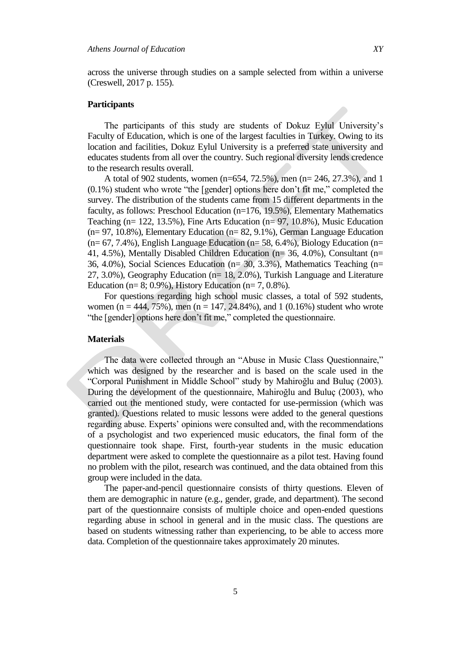across the universe through studies on a sample selected from within a universe (Creswell, 2017 p. 155).

## **Participants**

The participants of this study are students of Dokuz Eylul University"s Faculty of Education, which is one of the largest faculties in Turkey. Owing to its location and facilities, Dokuz Eylul University is a preferred state university and educates students from all over the country. Such regional diversity lends credence to the research results overall.

A total of 902 students, women (n=654, 72.5%), men (n= 246, 27.3%), and 1 (0.1%) student who wrote "the [gender] options here don"t fit me," completed the survey. The distribution of the students came from 15 different departments in the faculty, as follows: Preschool Education (n=176, 19.5%), Elementary Mathematics Teaching (n= 122, 13.5%), Fine Arts Education (n= 97, 10.8%), Music Education (n= 97, 10.8%), Elementary Education (n= 82, 9.1%), German Language Education  $(n= 67, 7.4\%)$ , English Language Education  $(n= 58, 6.4\%)$ , Biology Education  $(n= 10^{-10})$ 41, 4.5%), Mentally Disabled Children Education (n= 36, 4.0%), Consultant (n= 36, 4.0%), Social Sciences Education (n= 30, 3.3%), Mathematics Teaching (n= 27, 3.0%), Geography Education (n= 18, 2.0%), Turkish Language and Literature Education (n=  $8$ ; 0.9%), History Education (n=  $7, 0.8\%$ ).

For questions regarding high school music classes, a total of 592 students, women (n = 444, 75%), men (n = 147, 24.84%), and 1 (0.16%) student who wrote "the [gender] options here don"t fit me," completed the questionnaire.

#### **Materials**

The data were collected through an "Abuse in Music Class Questionnaire," which was designed by the researcher and is based on the scale used in the "Corporal Punishment in Middle School" study by Mahiroğlu and Buluç (2003). During the development of the questionnaire, Mahiroğlu and Buluç (2003), who carried out the mentioned study, were contacted for use-permission (which was granted). Questions related to music lessons were added to the general questions regarding abuse. Experts' opinions were consulted and, with the recommendations of a psychologist and two experienced music educators, the final form of the questionnaire took shape. First, fourth-year students in the music education department were asked to complete the questionnaire as a pilot test. Having found no problem with the pilot, research was continued, and the data obtained from this group were included in the data.

The paper-and-pencil questionnaire consists of thirty questions. Eleven of them are demographic in nature (e.g., gender, grade, and department). The second part of the questionnaire consists of multiple choice and open-ended questions regarding abuse in school in general and in the music class. The questions are based on students witnessing rather than experiencing, to be able to access more data. Completion of the questionnaire takes approximately 20 minutes.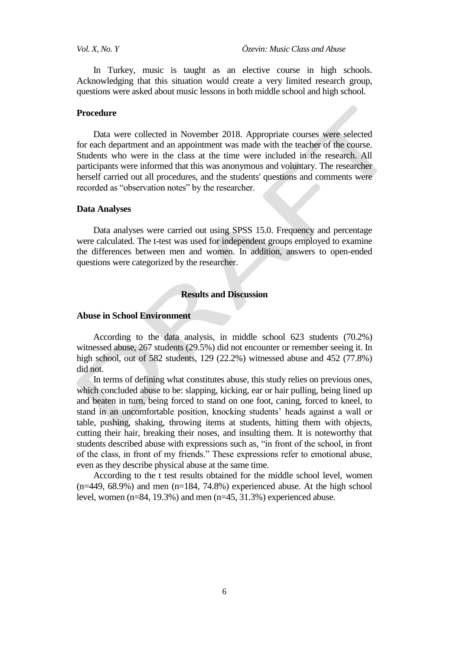In Turkey, music is taught as an elective course in high schools. Acknowledging that this situation would create a very limited research group, questions were asked about music lessons in both middle school and high school.

#### **Procedure**

Data were collected in November 2018. Appropriate courses were selected for each department and an appointment was made with the teacher of the course. Students who were in the class at the time were included in the research. All participants were informed that this was anonymous and voluntary. The researcher herself carried out all procedures, and the students' questions and comments were recorded as "observation notes" by the researcher.

#### **Data Analyses**

Data analyses were carried out using SPSS 15.0. Frequency and percentage were calculated. The t-test was used for independent groups employed to examine the differences between men and women. In addition, answers to open-ended questions were categorized by the researcher.

# **Results and Discussion**

#### **Abuse in School Environment**

According to the data analysis, in middle school 623 students (70.2%) witnessed abuse, 267 students (29.5%) did not encounter or remember seeing it. In high school, out of 582 students, 129 (22.2%) witnessed abuse and 452 (77.8%) did not.

In terms of defining what constitutes abuse, this study relies on previous ones, which concluded abuse to be: slapping, kicking, ear or hair pulling, being lined up and beaten in turn, being forced to stand on one foot, caning, forced to kneel, to stand in an uncomfortable position, knocking students' heads against a wall or table, pushing, shaking, throwing items at students, hitting them with objects, cutting their hair, breaking their noses, and insulting them. It is noteworthy that students described abuse with expressions such as, "in front of the school, in front of the class, in front of my friends." These expressions refer to emotional abuse, even as they describe physical abuse at the same time.

According to the t test results obtained for the middle school level, women  $(n=449, 68.9%)$  and men  $(n=184, 74.8%)$  experienced abuse. At the high school level, women (n=84, 19.3%) and men (n=45, 31.3%) experienced abuse.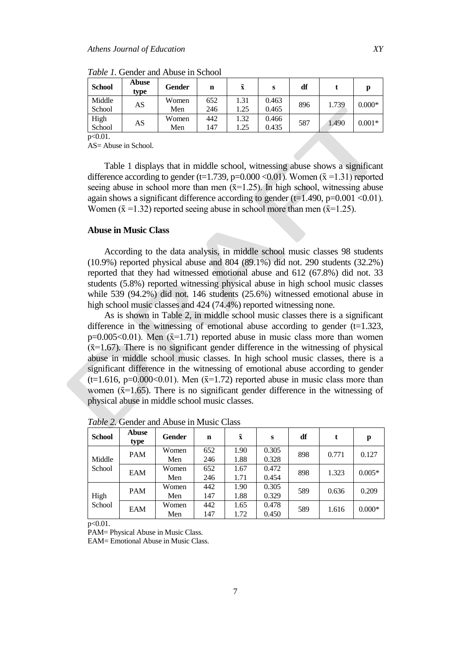| <b>School</b>    | Abuse<br>type | Gender       | n          | $\bar{\mathbf{x}}$ | s              | df  |       |          |
|------------------|---------------|--------------|------------|--------------------|----------------|-----|-------|----------|
| Middle<br>School | AS            | Women<br>Men | 652<br>246 | 1.31<br>1.25       | 0.463<br>0.465 | 896 | 1.739 | $0.000*$ |
| High<br>School   | AS            | Women<br>Men | 442<br>147 | 1.32<br>1.25       | 0.466<br>0.435 | 587 | 1.490 | $0.001*$ |

*Table 1.* Gender and Abuse in School

p<0.01.

AS= Abuse in School.

Table 1 displays that in middle school, witnessing abuse shows a significant difference according to gender (t=1.739, p=0.000 <0.01). Women ( $\bar{x}$  =1.31) reported seeing abuse in school more than men  $(\bar{x}=1.25)$ . In high school, witnessing abuse again shows a significant difference according to gender  $(t=1.490, p=0.001 < 0.01)$ . Women ( $\bar{x}$  =1.32) reported seeing abuse in school more than men ( $\bar{x}$ =1.25).

#### **Abuse in Music Class**

According to the data analysis, in middle school music classes 98 students (10.9%) reported physical abuse and 804 (89.1%) did not. 290 students (32.2%) reported that they had witnessed emotional abuse and 612 (67.8%) did not. 33 students (5.8%) reported witnessing physical abuse in high school music classes while 539 (94.2%) did not. 146 students (25.6%) witnessed emotional abuse in high school music classes and 424 (74.4%) reported witnessing none.

As is shown in Table 2, in middle school music classes there is a significant difference in the witnessing of emotional abuse according to gender  $(t=1.323)$ ,  $p=0.005<0.01$ ). Men ( $\bar{x}=1.71$ ) reported abuse in music class more than women  $(\bar{x}=1.67)$ . There is no significant gender difference in the witnessing of physical abuse in middle school music classes. In high school music classes, there is a significant difference in the witnessing of emotional abuse according to gender  $(t=1.616, p=0.000<0.01)$ . Men  $(\bar{x}=1.72)$  reported abuse in music class more than women  $(\bar{x}=1.65)$ . There is no significant gender difference in the witnessing of physical abuse in middle school music classes.

| <b>School</b>    | Abuse<br>type | <b>Gender</b> | n   | $\bar{x}$ | S     | df  | t     | p        |
|------------------|---------------|---------------|-----|-----------|-------|-----|-------|----------|
| Middle<br>School | <b>PAM</b>    | Women         | 652 | 1.90      | 0.305 | 898 | 0.771 | 0.127    |
|                  |               | Men           | 246 | 1.88      | 0.328 |     |       |          |
|                  | EAM           | Women         | 652 | 1.67      | 0.472 | 898 | 1.323 | $0.005*$ |
|                  |               | Men           | 246 | 1.71      | 0.454 |     |       |          |
| High<br>School   | <b>PAM</b>    | Women         | 442 | 1.90      | 0.305 | 589 | 0.636 | 0.209    |
|                  |               | Men           | 147 | 1.88      | 0.329 |     |       |          |
|                  | EAM           | Women         | 442 | 1.65      | 0.478 | 589 | 1.616 | $0.000*$ |
|                  |               | Men           | 147 | 1.72      | 0.450 |     |       |          |

*Table 2.* Gender and Abuse in Music Class

 $p < 0.01$ .

PAM= Physical Abuse in Music Class.

EAM= Emotional Abuse in Music Class.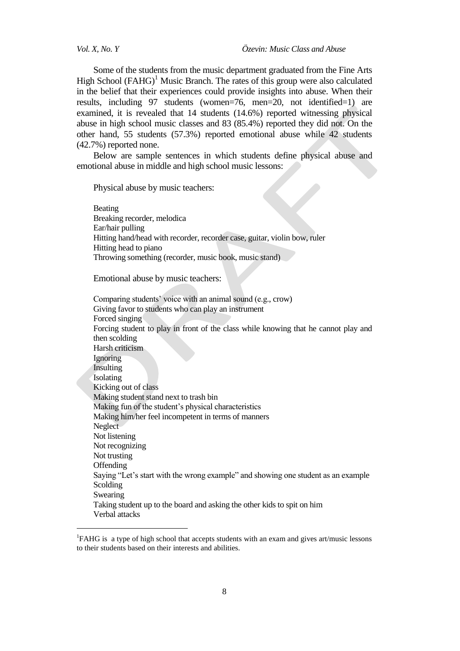$\overline{a}$ 

*Vol. X, No. Y Özevin: Music Class and Abuse*

Some of the students from the music department graduated from the Fine Arts High School  $(FAHG)^1$  Music Branch. The rates of this group were also calculated in the belief that their experiences could provide insights into abuse. When their results, including 97 students (women=76, men=20, not identified=1) are examined, it is revealed that 14 students (14.6%) reported witnessing physical abuse in high school music classes and 83 (85.4%) reported they did not. On the other hand, 55 students (57.3%) reported emotional abuse while 42 students (42.7%) reported none.

Below are sample sentences in which students define physical abuse and emotional abuse in middle and high school music lessons:

Physical abuse by music teachers:

Beating Breaking recorder, melodica Ear/hair pulling Hitting hand/head with recorder, recorder case, guitar, violin bow, ruler Hitting head to piano Throwing something (recorder, music book, music stand)

Emotional abuse by music teachers:

Comparing students' voice with an animal sound (e.g., crow) Giving favor to students who can play an instrument Forced singing Forcing student to play in front of the class while knowing that he cannot play and then scolding Harsh criticism Ignoring Insulting Isolating Kicking out of class Making student stand next to trash bin Making fun of the student"s physical characteristics Making him/her feel incompetent in terms of manners Neglect Not listening Not recognizing Not trusting **Offending** Saying "Let's start with the wrong example" and showing one student as an example Scolding Swearing Taking student up to the board and asking the other kids to spit on him Verbal attacks

<sup>&</sup>lt;sup>1</sup>FAHG is a type of high school that accepts students with an exam and gives art/music lessons to their students based on their interests and abilities.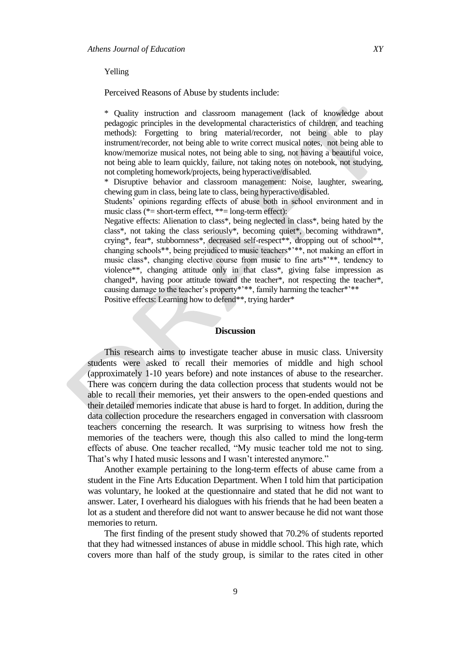#### Yelling

Perceived Reasons of Abuse by students include:

\* Quality instruction and classroom management (lack of knowledge about pedagogic principles in the developmental characteristics of children, and teaching methods): Forgetting to bring material/recorder, not being able to play instrument/recorder, not being able to write correct musical notes, not being able to know/memorize musical notes, not being able to sing, not having a beautiful voice, not being able to learn quickly, failure, not taking notes on notebook, not studying, not completing homework/projects, being hyperactive/disabled.

\* Disruptive behavior and classroom management: Noise, laughter, swearing, chewing gum in class, being late to class, being hyperactive/disabled.

Students" opinions regarding effects of abuse both in school environment and in music class (\*= short-term effect, \*\*= long-term effect):

Negative effects: Alienation to class\*, being neglected in class\*, being hated by the class\*, not taking the class seriously\*, becoming quiet\*, becoming withdrawn\*, crying\*, fear\*, stubbornness\*, decreased self-respect\*\*, dropping out of school\*\*, changing schools\*\*, being prejudiced to music teachers\*"\*\*, not making an effort in music class\*, changing elective course from music to fine arts\*"\*\*, tendency to violence\*\*, changing attitude only in that class\*, giving false impression as changed\*, having poor attitude toward the teacher\*, not respecting the teacher\*, causing damage to the teacher's property\*'\*\*, family harming the teacher\*'\*\*

Positive effects: Learning how to defend\*\*, trying harder\*

#### **Discussion**

This research aims to investigate teacher abuse in music class. University students were asked to recall their memories of middle and high school (approximately 1-10 years before) and note instances of abuse to the researcher. There was concern during the data collection process that students would not be able to recall their memories, yet their answers to the open-ended questions and their detailed memories indicate that abuse is hard to forget. In addition, during the data collection procedure the researchers engaged in conversation with classroom teachers concerning the research. It was surprising to witness how fresh the memories of the teachers were, though this also called to mind the long-term effects of abuse. One teacher recalled, "My music teacher told me not to sing. That's why I hated music lessons and I wasn't interested anymore."

Another example pertaining to the long-term effects of abuse came from a student in the Fine Arts Education Department. When I told him that participation was voluntary, he looked at the questionnaire and stated that he did not want to answer. Later, I overheard his dialogues with his friends that he had been beaten a lot as a student and therefore did not want to answer because he did not want those memories to return.

The first finding of the present study showed that 70.2% of students reported that they had witnessed instances of abuse in middle school. This high rate, which covers more than half of the study group, is similar to the rates cited in other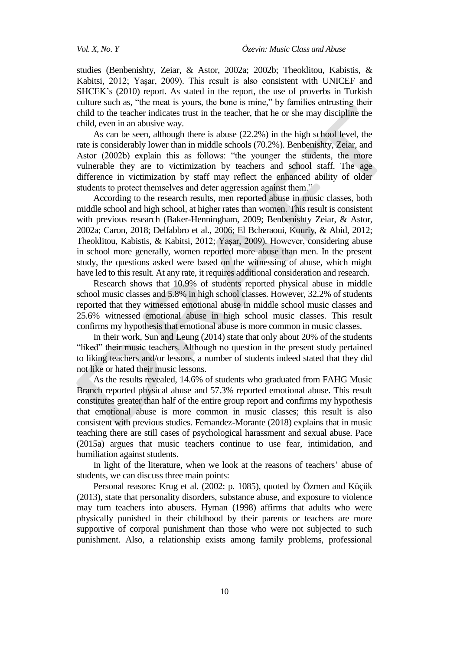studies (Benbenishty, Zeiar, & Astor, 2002a; 2002b; Theoklitou, Kabistis, & Kabitsi, 2012; Yaşar, 2009). This result is also consistent with UNICEF and SHCEK's (2010) report. As stated in the report, the use of proverbs in Turkish culture such as, "the meat is yours, the bone is mine," by families entrusting their child to the teacher indicates trust in the teacher, that he or she may discipline the child, even in an abusive way.

As can be seen, although there is abuse (22.2%) in the high school level, the rate is considerably lower than in middle schools (70.2%). Benbenishty, Zeiar, and Astor (2002b) explain this as follows: "the younger the students, the more vulnerable they are to victimization by teachers and school staff. The age difference in victimization by staff may reflect the enhanced ability of older students to protect themselves and deter aggression against them."

According to the research results, men reported abuse in music classes, both middle school and high school, at higher rates than women. This result is consistent with previous research (Baker-Henningham, 2009; Benbenishty Zeiar, & Astor, 2002a; Caron, 2018; Delfabbro et al., 2006; El Bcheraoui, Kouriy, & Abid, 2012; Theoklitou, Kabistis, & Kabitsi, 2012; Yaşar, 2009). However, considering abuse in school more generally, women reported more abuse than men. In the present study, the questions asked were based on the witnessing of abuse, which might have led to this result. At any rate, it requires additional consideration and research.

Research shows that 10.9% of students reported physical abuse in middle school music classes and 5.8% in high school classes. However, 32.2% of students reported that they witnessed emotional abuse in middle school music classes and 25.6% witnessed emotional abuse in high school music classes. This result confirms my hypothesis that emotional abuse is more common in music classes.

In their work, Sun and Leung (2014) state that only about 20% of the students "liked" their music teachers. Although no question in the present study pertained to liking teachers and/or lessons, a number of students indeed stated that they did not like or hated their music lessons.

As the results revealed, 14.6% of students who graduated from FAHG Music Branch reported physical abuse and 57.3% reported emotional abuse. This result constitutes greater than half of the entire group report and confirms my hypothesis that emotional abuse is more common in music classes; this result is also consistent with previous studies. Fernandez-Morante (2018) explains that in music teaching there are still cases of psychological harassment and sexual abuse. Pace (2015a) argues that music teachers continue to use fear, intimidation, and humiliation against students.

In light of the literature, when we look at the reasons of teachers' abuse of students, we can discuss three main points:

Personal reasons: Krug et al. (2002: p. 1085), quoted by Özmen and Küçük (2013), state that personality disorders, substance abuse, and exposure to violence may turn teachers into abusers. Hyman (1998) affirms that adults who were physically punished in their childhood by their parents or teachers are more supportive of corporal punishment than those who were not subjected to such punishment. Also, a relationship exists among family problems, professional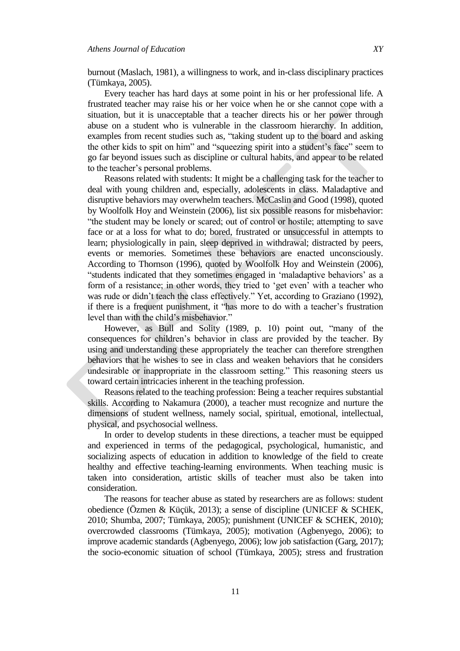burnout (Maslach, 1981), a willingness to work, and in-class disciplinary practices (Tümkaya, 2005).

Every teacher has hard days at some point in his or her professional life. A frustrated teacher may raise his or her voice when he or she cannot cope with a situation, but it is unacceptable that a teacher directs his or her power through abuse on a student who is vulnerable in the classroom hierarchy. In addition, examples from recent studies such as, "taking student up to the board and asking the other kids to spit on him" and "squeezing spirit into a student"s face" seem to go far beyond issues such as discipline or cultural habits, and appear to be related to the teacher"s personal problems.

Reasons related with students: It might be a challenging task for the teacher to deal with young children and, especially, adolescents in class. Maladaptive and disruptive behaviors may overwhelm teachers. McCaslin and Good (1998), quoted by Woolfolk Hoy and Weinstein (2006), list six possible reasons for misbehavior: "the student may be lonely or scared; out of control or hostile; attempting to save face or at a loss for what to do; bored, frustrated or unsuccessful in attempts to learn; physiologically in pain, sleep deprived in withdrawal; distracted by peers, events or memories. Sometimes these behaviors are enacted unconsciously. According to Thornson (1996), quoted by Woolfolk Hoy and Weinstein (2006), "students indicated that they sometimes engaged in "maladaptive behaviors" as a form of a resistance; in other words, they tried to "get even" with a teacher who was rude or didn"t teach the class effectively." Yet, according to Graziano (1992), if there is a frequent punishment, it "has more to do with a teacher"s frustration level than with the child"s misbehavior."

However, as Bull and Solity (1989, p. 10) point out, "many of the consequences for children"s behavior in class are provided by the teacher. By using and understanding these appropriately the teacher can therefore strengthen behaviors that he wishes to see in class and weaken behaviors that he considers undesirable or inappropriate in the classroom setting." This reasoning steers us toward certain intricacies inherent in the teaching profession.

Reasons related to the teaching profession: Being a teacher requires substantial skills. According to Nakamura (2000), a teacher must recognize and nurture the dimensions of student wellness, namely social, spiritual, emotional, intellectual, physical, and psychosocial wellness.

In order to develop students in these directions, a teacher must be equipped and experienced in terms of the pedagogical, psychological, humanistic, and socializing aspects of education in addition to knowledge of the field to create healthy and effective teaching-learning environments. When teaching music is taken into consideration, artistic skills of teacher must also be taken into consideration.

The reasons for teacher abuse as stated by researchers are as follows: student obedience (Özmen & Küçük, 2013); a sense of discipline (UNICEF & SCHEK, 2010; Shumba, 2007; Tümkaya, 2005); punishment (UNICEF & SCHEK, 2010); overcrowded classrooms (Tümkaya, 2005); motivation (Agbenyego, 2006); to improve academic standards (Agbenyego, 2006); low job satisfaction (Garg, 2017); the socio-economic situation of school (Tümkaya, 2005); stress and frustration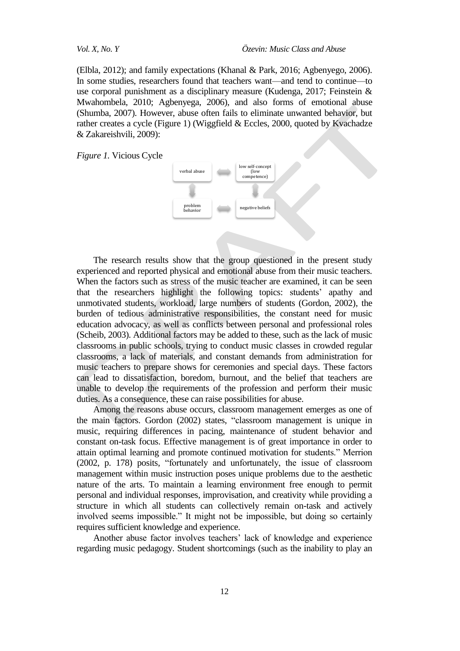(Elbla, 2012); and family expectations (Khanal & Park, 2016; Agbenyego, 2006). In some studies, researchers found that teachers want—and tend to continue—to use corporal punishment as a disciplinary measure (Kudenga, 2017; Feinstein & Mwahombela, 2010; Agbenyega, 2006), and also forms of emotional abuse (Shumba, 2007). However, abuse often fails to eliminate unwanted behavior, but rather creates a cycle (Figure 1) (Wiggfield & Eccles, 2000, quoted by Kvachadze & Zakareishvili, 2009):

*Figure 1.* Vicious Cycle



The research results show that the group questioned in the present study experienced and reported physical and emotional abuse from their music teachers. When the factors such as stress of the music teacher are examined, it can be seen that the researchers highlight the following topics: students" apathy and unmotivated students, workload, large numbers of students (Gordon, 2002), the burden of tedious administrative responsibilities, the constant need for music education advocacy, as well as conflicts between personal and professional roles (Scheib, 2003). Additional factors may be added to these, such as the lack of music classrooms in public schools, trying to conduct music classes in crowded regular classrooms, a lack of materials, and constant demands from administration for music teachers to prepare shows for ceremonies and special days. These factors can lead to dissatisfaction, boredom, burnout, and the belief that teachers are unable to develop the requirements of the profession and perform their music duties. As a consequence, these can raise possibilities for abuse.

Among the reasons abuse occurs, classroom management emerges as one of the main factors. Gordon (2002) states, "classroom management is unique in music, requiring differences in pacing, maintenance of student behavior and constant on-task focus. Effective management is of great importance in order to attain optimal learning and promote continued motivation for students." Merrion (2002, p. 178) posits, "fortunately and unfortunately, the issue of classroom management within music instruction poses unique problems due to the aesthetic nature of the arts. To maintain a learning environment free enough to permit personal and individual responses, improvisation, and creativity while providing a structure in which all students can collectively remain on-task and actively involved seems impossible." It might not be impossible, but doing so certainly requires sufficient knowledge and experience.

Another abuse factor involves teachers' lack of knowledge and experience regarding music pedagogy. Student shortcomings (such as the inability to play an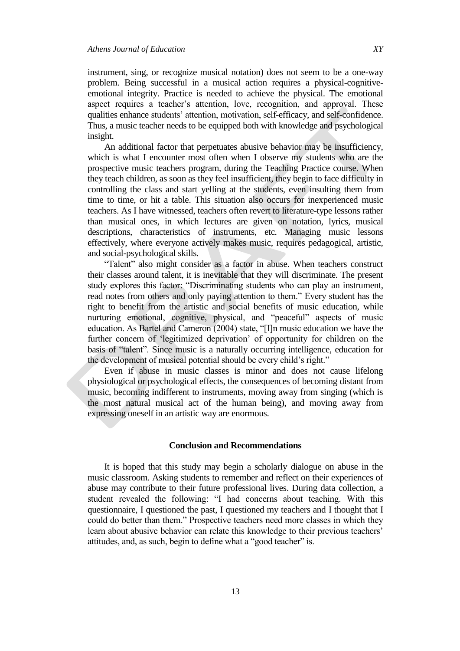instrument, sing, or recognize musical notation) does not seem to be a one-way problem. Being successful in a musical action requires a physical-cognitiveemotional integrity. Practice is needed to achieve the physical. The emotional aspect requires a teacher"s attention, love, recognition, and approval. These qualities enhance students" attention, motivation, self-efficacy, and self-confidence. Thus, a music teacher needs to be equipped both with knowledge and psychological insight.

An additional factor that perpetuates abusive behavior may be insufficiency, which is what I encounter most often when I observe my students who are the prospective music teachers program, during the Teaching Practice course. When they teach children, as soon as they feel insufficient, they begin to face difficulty in controlling the class and start yelling at the students, even insulting them from time to time, or hit a table. This situation also occurs for inexperienced music teachers. As I have witnessed, teachers often revert to literature-type lessons rather than musical ones, in which lectures are given on notation, lyrics, musical descriptions, characteristics of instruments, etc. Managing music lessons effectively, where everyone actively makes music, requires pedagogical, artistic, and social-psychological skills.

"Talent" also might consider as a factor in abuse. When teachers construct their classes around talent, it is inevitable that they will discriminate. The present study explores this factor: "Discriminating students who can play an instrument, read notes from others and only paying attention to them." Every student has the right to benefit from the artistic and social benefits of music education, while nurturing emotional, cognitive, physical, and "peaceful" aspects of music education. As Bartel and Cameron (2004) state, "[I]n music education we have the further concern of "legitimized deprivation" of opportunity for children on the basis of "talent". Since music is a naturally occurring intelligence, education for the development of musical potential should be every child"s right."

Even if abuse in music classes is minor and does not cause lifelong physiological or psychological effects, the consequences of becoming distant from music, becoming indifferent to instruments, moving away from singing (which is the most natural musical act of the human being), and moving away from expressing oneself in an artistic way are enormous.

### **Conclusion and Recommendations**

It is hoped that this study may begin a scholarly dialogue on abuse in the music classroom. Asking students to remember and reflect on their experiences of abuse may contribute to their future professional lives. During data collection, a student revealed the following: "I had concerns about teaching. With this questionnaire, I questioned the past, I questioned my teachers and I thought that I could do better than them." Prospective teachers need more classes in which they learn about abusive behavior can relate this knowledge to their previous teachers' attitudes, and, as such, begin to define what a "good teacher" is.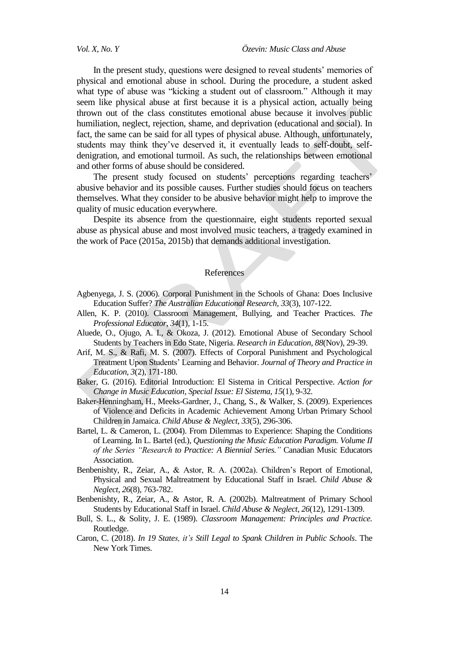In the present study, questions were designed to reveal students' memories of physical and emotional abuse in school. During the procedure, a student asked what type of abuse was "kicking a student out of classroom." Although it may seem like physical abuse at first because it is a physical action, actually being thrown out of the class constitutes emotional abuse because it involves public humiliation, neglect, rejection, shame, and deprivation (educational and social). In fact, the same can be said for all types of physical abuse. Although, unfortunately, students may think they"ve deserved it, it eventually leads to self-doubt, selfdenigration, and emotional turmoil. As such, the relationships between emotional and other forms of abuse should be considered.

The present study focused on students' perceptions regarding teachers' abusive behavior and its possible causes. Further studies should focus on teachers themselves. What they consider to be abusive behavior might help to improve the quality of music education everywhere.

Despite its absence from the questionnaire, eight students reported sexual abuse as physical abuse and most involved music teachers, a tragedy examined in the work of Pace (2015a, 2015b) that demands additional investigation.

#### References

- Agbenyega, J. S. (2006). Corporal Punishment in the Schools of Ghana: Does Inclusive Education Suffer? *The Australian Educational Research, 33*(3), 107-122.
- Allen, K. P. (2010). Classroom Management, Bullying, and Teacher Practices. *The Professional Educator*, *34*(1), 1-15.
- Aluede, O., Ojugo, A. I., & Okoza, J. (2012). Emotional Abuse of Secondary School Students by Teachers in Edo State, Nigeria. *Research in Education*, *88*(Nov), 29-39.
- Arif, M. S., & Rafi, M. S. (2007). Effects of Corporal Punishment and Psychological Treatment Upon Students" Learning and Behavior. *Journal of Theory and Practice in Education*, *3*(2), 171-180.
- Baker, G. (2016). Editorial Introduction: El Sistema in Critical Perspective. *Action for Change in Music Education, Special Issue: El Sistema*, *15*(1), 9-32.
- Baker-Henningham, H., Meeks-Gardner, J., Chang, S., & Walker, S. (2009). Experiences of Violence and Deficits in Academic Achievement Among Urban Primary School Children in Jamaica. *Child Abuse & Neglect*, *33*(5), 296-306.
- Bartel, L. & Cameron, L. (2004). From Dilemmas to Experience: Shaping the Conditions of Learning. In L. Bartel (ed.), *Questioning the Music Education Paradigm. Volume II of the Series "Research to Practice: A Biennial Series."* Canadian Music Educators Association.
- Benbenishty, R., Zeiar, A., & Astor, R. A. (2002a). Children"s Report of Emotional, Physical and Sexual Maltreatment by Educational Staff in Israel. *Child Abuse & Neglect, 26*(8), 763-782.
- Benbenishty, R., Zeiar, A., & Astor, R. A. (2002b). Maltreatment of Primary School Students by Educational Staff in Israel. *Child Abuse & Neglect, 26*(12), 1291-1309.
- Bull, S. L., & Solity, J. E. (1989). *Classroom Management: Principles and Practice.* Routledge.
- Caron, C. (2018). *In 19 States, it's Still Legal to Spank Children in Public Schools*. The New York Times.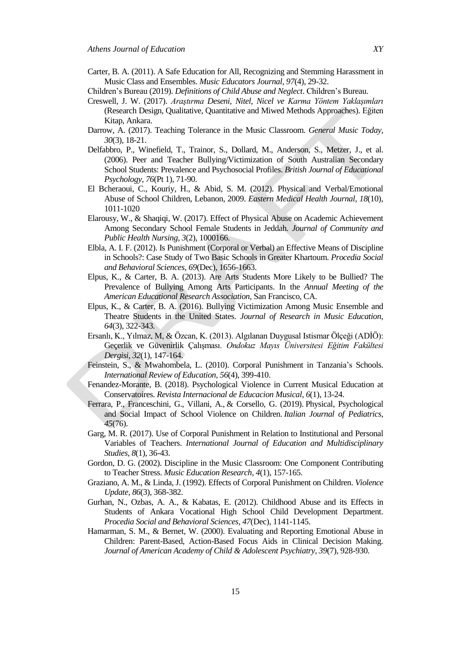- Carter, B. A. (2011). A Safe Education for All, Recognizing and Stemming Harassment in Music Class and Ensembles. *Music Educators Journal*, *97*(4), 29-32.
- [Children"s](https://www.childwelfare.gov/pubPDFs/define.pdf) Bureau (2019). *Definitions of Child Abuse and Neglect*. [Children"s](https://www.childwelfare.gov/pubPDFs/define.pdf) Bureau.
- Creswell, J. W. (2017). *Araştırma Deseni, Nitel, Nicel ve Karma Yöntem Yaklaşımları* (Research Design, Qualitative, Quantitative and Miwed Methods Approaches). Eğiten Kitap, Ankara.
- Darrow, A. (2017). Teaching Tolerance in the Music Classroom. *General Music Today*, *30*(3), 18-21.
- Delfabbro, P., Winefield, T., Trainor, S., Dollard, M., Anderson, S., Metzer, J., et al. (2006). Peer and Teacher Bullying/Victimization of South Australian Secondary School Students: Prevalence and Psychosocial Profiles. *British Journal of Educational Psychology*, *76*(Pt 1), 71-90.
- El Bcheraoui, C., Kouriy, H., & Abid, S. M. (2012). Physical and Verbal/Emotional Abuse of School Children, Lebanon, 2009. *Eastern Medical Health Journal*, *18*(10), 1011-1020
- Elarousy, W., & Shaqiqi, W. (2017). Effect of Physical Abuse on Academic Achievement Among Secondary School Female Students in Jeddah. *Journal of Community and Public Health Nursing*, *3*(2), 1000166.
- Elbla, A. I. F. (2012). Is Punishment (Corporal or Verbal) an Effective Means of Discipline in Schools?: Case Study of Two Basic Schools in Greater Khartoum. *Procedia Social and Behavioral Sciences, 69*(Dec), 1656-1663.
- Elpus, K., & Carter, B. A. (2013). Are Arts Students More Likely to be Bullied? The Prevalence of Bullying Among Arts Participants. In the *Annual Meeting of the American Educational Research Association*, San Francisco, CA.
- Elpus, K., & Carter, B. A. (2016). Bullying Victimization Among Music Ensemble and Theatre Students in the United States. *Journal of Research in Music Education*, *64*(3), 322-343.
- Ersanlı, K., Yılmaz, M, & Özcan, K. (2013). Algılanan Duygusal Istismar Ölçeği (ADİÖ): Geçerlik ve Güvenirlik Çalışması. *Ondokuz Mayıs Üniversitesi Eğitim Fakültesi Dergisi*, *32*(1), 147-164.
- Feinstein, S., & Mwahombela, L. (2010). Corporal Punishment in Tanzania's Schools. *International Review of Education*, *56*(4), 399-410.
- Fenandez-Morante, B. (2018). Psychological Violence in Current Musical Education at Conservatoires. *Revista Internacional de Educacion Musical*, *6*(1), 13-24.
- Ferrara, P., Franceschini, G., Villani, A., & Corsello, G. (2019). Physical, Psychological and Social Impact of School Violence on Children. *Italian Journal of Pediatrics, 45*(76).
- Garg, M. R. (2017). Use of Corporal Punishment in Relation to Institutional and Personal Variables of Teachers. *International Journal of Education and Multidisciplinary Studies*, *8*(1), 36-43.
- Gordon, D. G. (2002). Discipline in the Music Classroom: One Component Contributing to Teacher Stress. *Music Education Research*, *4*(1), 157-165.
- Graziano, A. M., & Linda, J. (1992). Effects of Corporal Punishment on Children. *Violence Update*, *86*(3), 368-382.
- Gurhan, N., Ozbas, A. A., & Kabatas, E. (2012). Childhood Abuse and its Effects in Students of Ankara Vocational High School Child Development Department. *Procedia Social and Behavioral Sciences*, *47*(Dec), 1141-1145.
- Hamarman, S. M., & Bernet, W. (2000). Evaluating and Reporting Emotional Abuse in Children: Parent-Based, Action-Based Focus Aids in Clinical Decision Making. *Journal of American Academy of Child & Adolescent Psychiatry*, *39*(7), 928-930.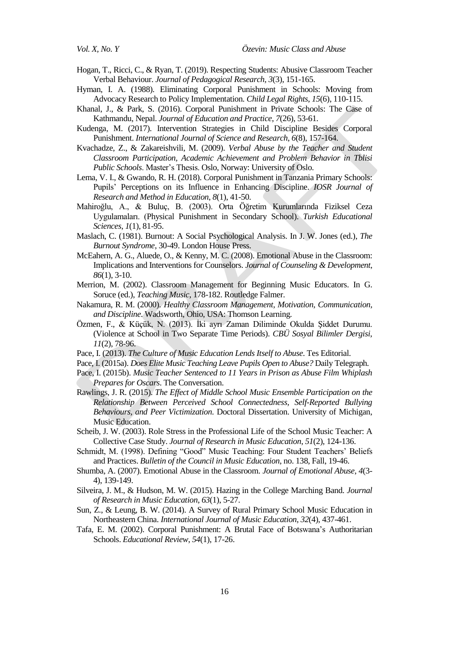- Hogan, T., Ricci, C., & Ryan, T. (2019). Respecting Students: Abusive Classroom Teacher Verbal Behaviour. *Journal of Pedagogical Research, 3*(3), 151-165.
- Hyman, I. A. (1988). Eliminating Corporal Punishment in Schools: Moving from Advocacy Research to Policy Implementation. *Child Legal Rights*, *15*(6), 110-115.
- Khanal, J., & Park, S. (2016). Corporal Punishment in Private Schools: The Case of Kathmandu, Nepal. *Journal of Education and Practice*, *7*(26), 53-61.
- Kudenga, M. (2017). Intervention Strategies in Child Discipline Besides Corporal Punishment. *International Journal of Science and Research*, *6*(8), 157-164.
- Kvachadze, Z., & Zakareishvili, M. (2009). *Verbal Abuse by the Teacher and Student Classroom Participation, Academic Achievement and Problem Behavior in Tblisi Public Schools*. Master"s Thesis. Oslo, Norway: University of Oslo.
- Lema, V. I., & Gwando, R. H. (2018). Corporal Punishment in Tanzania Primary Schools: Pupils" Perceptions on its Influence in Enhancing Discipline. *IOSR Journal of Research and Method in Education*, *8*(1), 41-50.
- Mahiroğlu, A., & Buluç, B. (2003). Orta Öğretim Kurumlarında Fiziksel Ceza Uygulamaları. (Physical Punishment in Secondary School). *Turkish Educational Sciences*, *1*(1), 81-95.
- Maslach, C. (1981). Burnout: A Social Psychological Analysis. In J. W. Jones (ed.), *The Burnout Syndrome*, 30-49. London House Press.
- McEahern, A. G., Aluede, O., & Kenny, M. C. (2008). Emotional Abuse in the Classroom: Implications and Interventions for Counselors. *Journal of Counseling & Development*, *86*(1), 3-10.
- Merrion, M. (2002). Classroom Management for Beginning Music Educators. In G. Soruce (ed.), *Teaching Music*, 178-182. Routledge Falmer.
- Nakamura, R. M. (2000). *Healthy Classroom Management, Motivation, Communication, and Discipline*. Wadsworth, Ohio, USA: Thomson Learning.
- Özmen, F., & Küçük, N. (2013). İki ayrı Zaman Diliminde Okulda Şiddet Durumu. (Violence at School in Two Separate Time Periods). *CBÜ Sosyal Bilimler Dergisi*, *11*(2), 78-96.
- Pace, I. (2013). *The Culture of Music Education Lends Itself to Abuse*. [Tes](https://www.tes.com/news/culture-music-education-lends-itself-abuse) Editorial.
- Pace, I. (2015a). *Does Elite Music Teaching Leave Pupils Open to Abuse?* Daily Telegraph.
- Pace, I. (2015b). *Music Teacher Sentenced to 11 Years in Prison as Abuse Film Whiplash Prepares for Oscars*. The Conversation.
- Rawlings, J. R. (2015). *The Effect of Middle School Music Ensemble Participation on the Relationship Between Perceived School Connectedness, Self-Reported Bullying Behaviours, and Peer Victimization*. Doctoral Dissertation. University of Michigan, Music Education.
- Scheib, J. W. (2003). Role Stress in the Professional Life of the School Music Teacher: A Collective Case Study. *Journal of Research in Music Education*, *51*(2), 124-136.
- Schmidt, M. (1998). Defining "Good" Music Teaching: Four Student Teachers' Beliefs and Practices. *Bulletin of the Council in Music Education*, no. 138, Fall, 19-46.
- Shumba, A. (2007). Emotional Abuse in the Classroom. *Journal of Emotional Abuse*, *4*(3- 4), 139-149.
- Silveira, J. M., & Hudson, M. W. (2015). Hazing in the College Marching Band. *Journal of Research in Music Education*, *63*(1), 5-27.
- Sun, Z., & Leung, B. W. (2014). A Survey of Rural Primary School Music Education in Northeastern China. *International Journal of Music Education*, *32*(4), 437-461.
- Tafa, E. M. (2002). Corporal Punishment: A Brutal Face of Botswana"s Authoritarian Schools. *Educational Review*, *54*(1), 17-26.